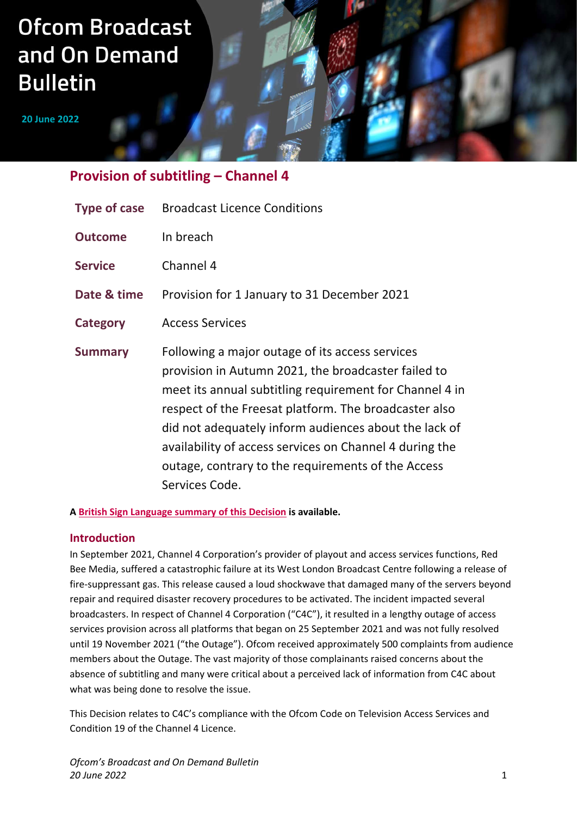# **Ofcom Broadcast** and On Demand **Bulletin**

**20 June 2022**

## **Provision of subtitling – Channel 4**

| <b>Type of case</b> | <b>Broadcast Licence Conditions</b>                                                                                                                                                                                                                                                                                                                                                                                    |
|---------------------|------------------------------------------------------------------------------------------------------------------------------------------------------------------------------------------------------------------------------------------------------------------------------------------------------------------------------------------------------------------------------------------------------------------------|
| <b>Outcome</b>      | In breach                                                                                                                                                                                                                                                                                                                                                                                                              |
| <b>Service</b>      | Channel 4                                                                                                                                                                                                                                                                                                                                                                                                              |
| Date & time         | Provision for 1 January to 31 December 2021                                                                                                                                                                                                                                                                                                                                                                            |
| Category            | <b>Access Services</b>                                                                                                                                                                                                                                                                                                                                                                                                 |
| <b>Summary</b>      | Following a major outage of its access services<br>provision in Autumn 2021, the broadcaster failed to<br>meet its annual subtitling requirement for Channel 4 in<br>respect of the Freesat platform. The broadcaster also<br>did not adequately inform audiences about the lack of<br>availability of access services on Channel 4 during the<br>outage, contrary to the requirements of the Access<br>Services Code. |

#### **A [British Sign Language summary of this Decision](https://vimeo.com/721477618/474bf4f466) is available.**

## **Introduction**

In September 2021, Channel 4 Corporation's provider of playout and access services functions, Red Bee Media, suffered a catastrophic failure at its West London Broadcast Centre following a release of fire-suppressant gas. This release caused a loud shockwave that damaged many of the servers beyond repair and required disaster recovery procedures to be activated. The incident impacted several broadcasters. In respect of Channel 4 Corporation ("C4C"), it resulted in a lengthy outage of access services provision across all platforms that began on 25 September 2021 and was not fully resolved until 19 November 2021 ("the Outage"). Ofcom received approximately 500 complaints from audience members about the Outage. The vast majority of those complainants raised concerns about the absence of subtitling and many were critical about a perceived lack of information from C4C about what was being done to resolve the issue.

This Decision relates to C4C's compliance with the Ofcom Code on Television Access Services and Condition 19 of the Channel 4 Licence.

*Ofcom's Broadcast and On Demand Bulletin 20 June 2022* 1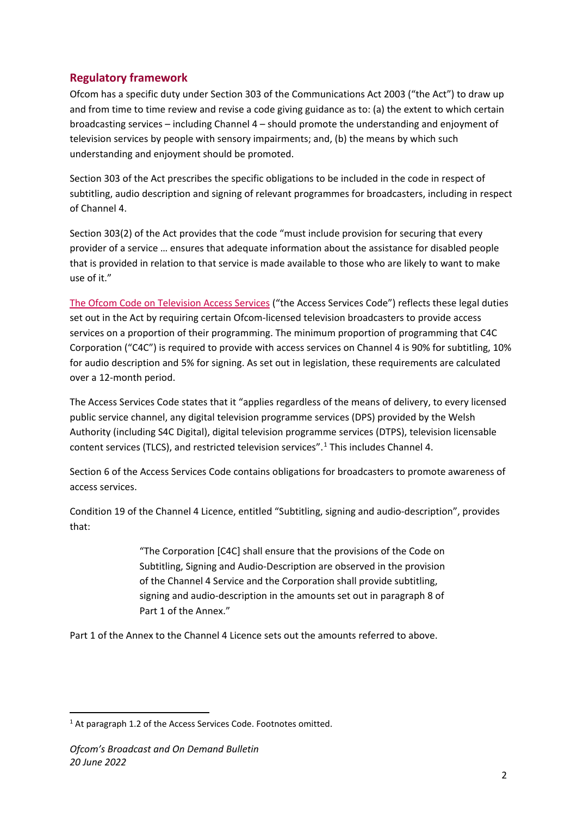## **Regulatory framework**

Ofcom has a specific duty under Section 303 of the Communications Act 2003 ("the Act") to draw up and from time to time review and revise a code giving guidance as to: (a) the extent to which certain broadcasting services – including Channel 4 – should promote the understanding and enjoyment of television services by people with sensory impairments; and, (b) the means by which such understanding and enjoyment should be promoted.

Section 303 of the Act prescribes the specific obligations to be included in the code in respect of subtitling, audio description and signing of relevant programmes for broadcasters, including in respect of Channel 4.

Section 303(2) of the Act provides that the code "must include provision for securing that every provider of a service … ensures that adequate information about the assistance for disabled people that is provided in relation to that service is made available to those who are likely to want to make use of it."

[The Ofcom Code on Television Access Services](https://www.ofcom.org.uk/__data/assets/pdf_file/0035/179954/tv-access-services-code.pdf) ("the Access Services Code") reflects these legal duties set out in the Act by requiring certain Ofcom-licensed television broadcasters to provide access services on a proportion of their programming. The minimum proportion of programming that C4C Corporation ("C4C") is required to provide with access services on Channel 4 is 90% for subtitling, 10% for audio description and 5% for signing. As set out in legislation, these requirements are calculated over a 12-month period.

The Access Services Code states that it "applies regardless of the means of delivery, to every licensed public service channel, any digital television programme services (DPS) provided by the Welsh Authority (including S4C Digital), digital television programme services (DTPS), television licensable content services (TLCS), and restricted television services".<sup>[1](#page-1-0)</sup> This includes Channel 4.

Section 6 of the Access Services Code contains obligations for broadcasters to promote awareness of access services.

Condition 19 of the Channel 4 Licence, entitled "Subtitling, signing and audio-description", provides that:

> "The Corporation [C4C] shall ensure that the provisions of the Code on Subtitling, Signing and Audio-Description are observed in the provision of the Channel 4 Service and the Corporation shall provide subtitling, signing and audio-description in the amounts set out in paragraph 8 of Part 1 of the Annex."

Part 1 of the Annex to the Channel 4 Licence sets out the amounts referred to above.

<span id="page-1-0"></span><sup>&</sup>lt;sup>1</sup> At paragraph 1.2 of the Access Services Code. Footnotes omitted.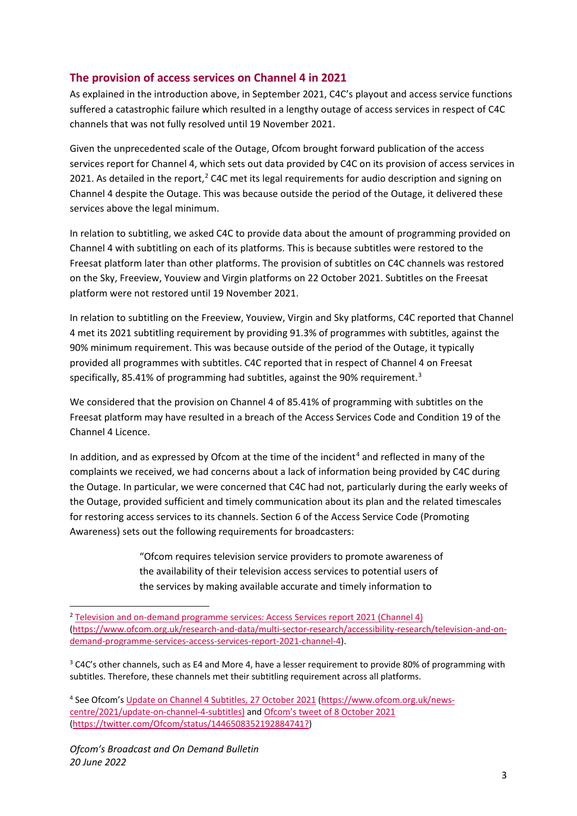## **The provision of access services on Channel 4 in 2021**

As explained in the introduction above, in September 2021, C4C's playout and access service functions suffered a catastrophic failure which resulted in a lengthy outage of access services in respect of C4C channels that was not fully resolved until 19 November 2021.

Given the unprecedented scale of the Outage, Ofcom brought forward publication of the access services report for Channel 4, which sets out data provided by C4C on its provision of access services in [2](#page-2-0)021. As detailed in the report,<sup>2</sup> C4C met its legal requirements for audio description and signing on Channel 4 despite the Outage. This was because outside the period of the Outage, it delivered these services above the legal minimum.

In relation to subtitling, we asked C4C to provide data about the amount of programming provided on Channel 4 with subtitling on each of its platforms. This is because subtitles were restored to the Freesat platform later than other platforms. The provision of subtitles on C4C channels was restored on the Sky, Freeview, Youview and Virgin platforms on 22 October 2021. Subtitles on the Freesat platform were not restored until 19 November 2021.

In relation to subtitling on the Freeview, Youview, Virgin and Sky platforms, C4C reported that Channel 4 met its 2021 subtitling requirement by providing 91.3% of programmes with subtitles, against the 90% minimum requirement. This was because outside of the period of the Outage, it typically provided all programmes with subtitles. C4C reported that in respect of Channel 4 on Freesat specifically, 85.41% of programming had subtitles, against the 90% requirement.<sup>[3](#page-2-1)</sup>

We considered that the provision on Channel 4 of 85.41% of programming with subtitles on the Freesat platform may have resulted in a breach of the Access Services Code and Condition 19 of the Channel 4 Licence.

In addition, and as expressed by Ofcom at the time of the incident<sup>[4](#page-2-2)</sup> and reflected in many of the complaints we received, we had concerns about a lack of information being provided by C4C during the Outage. In particular, we were concerned that C4C had not, particularly during the early weeks of the Outage, provided sufficient and timely communication about its plan and the related timescales for restoring access services to its channels. Section 6 of the Access Service Code (Promoting Awareness) sets out the following requirements for broadcasters:

> "Ofcom requires television service providers to promote awareness of the availability of their television access services to potential users of the services by making available accurate and timely information to

<span id="page-2-0"></span><sup>&</sup>lt;sup>2</sup> [Television and on-demand programme services: Access Services report 2021 \(Channel 4\)](https://www.ofcom.org.uk/research-and-data/multi-sector-research/accessibility-research/television-and-on-demand-programme-services-access-services-report-2021-channel-4) [\(https://www.ofcom.org.uk/research-and-data/multi-sector-research/accessibility-research/television-and-on](https://www.ofcom.org.uk/research-and-data/multi-sector-research/accessibility-research/television-and-on-demand-programme-services-access-services-report-2021-channel-4)[demand-programme-services-access-services-report-2021-channel-4\)](https://www.ofcom.org.uk/research-and-data/multi-sector-research/accessibility-research/television-and-on-demand-programme-services-access-services-report-2021-channel-4).

<span id="page-2-1"></span> $3$  C4C's other channels, such as E4 and More 4, have a lesser requirement to provide 80% of programming with subtitles. Therefore, these channels met their subtitling requirement across all platforms.

<span id="page-2-2"></span><sup>4</sup> See Ofcom's [Update on Channel 4 Subtitles, 27 October 2021](https://www.ofcom.org.uk/news-centre/2021/update-on-channel-4-subtitles) [\(https://www.ofcom.org.uk/news](https://www.ofcom.org.uk/news-centre/2021/update-on-channel-4-subtitles)[centre/2021/update-on-channel-4-subtitles\)](https://www.ofcom.org.uk/news-centre/2021/update-on-channel-4-subtitles) an[d Ofcom's tweet of 8 October 2021](https://twitter.com/Ofcom/status/1446508352192884741?) [\(https://twitter.com/Ofcom/status/1446508352192884741?\)](https://twitter.com/Ofcom/status/1446508352192884741?)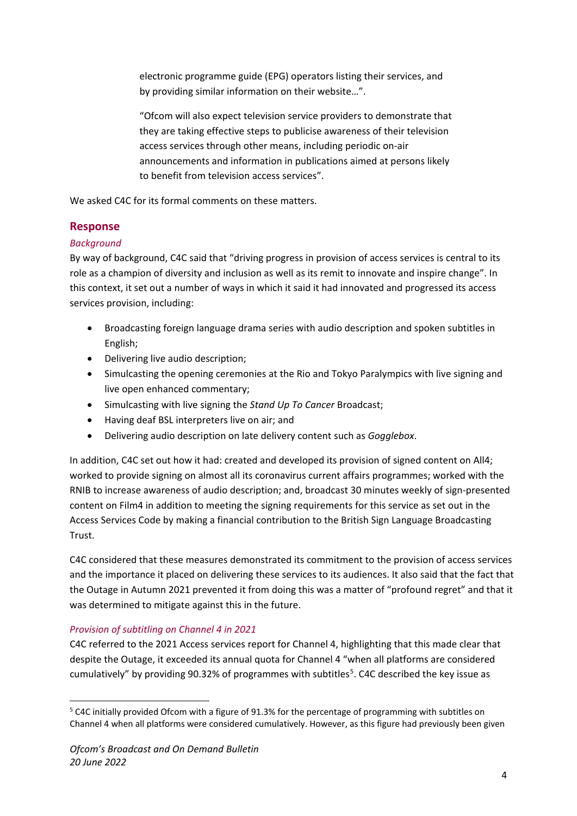electronic programme guide (EPG) operators listing their services, and by providing similar information on their website…".

"Ofcom will also expect television service providers to demonstrate that they are taking effective steps to publicise awareness of their television access services through other means, including periodic on-air announcements and information in publications aimed at persons likely to benefit from television access services".

We asked C4C for its formal comments on these matters.

## **Response**

## *Background*

By way of background, C4C said that "driving progress in provision of access services is central to its role as a champion of diversity and inclusion as well as its remit to innovate and inspire change". In this context, it set out a number of ways in which it said it had innovated and progressed its access services provision, including:

- Broadcasting foreign language drama series with audio description and spoken subtitles in English;
- Delivering live audio description;
- Simulcasting the opening ceremonies at the Rio and Tokyo Paralympics with live signing and live open enhanced commentary;
- Simulcasting with live signing the *Stand Up To Cancer* Broadcast;
- Having deaf BSL interpreters live on air; and
- Delivering audio description on late delivery content such as *Gogglebox*.

In addition, C4C set out how it had: created and developed its provision of signed content on All4; worked to provide signing on almost all its coronavirus current affairs programmes; worked with the RNIB to increase awareness of audio description; and, broadcast 30 minutes weekly of sign-presented content on Film4 in addition to meeting the signing requirements for this service as set out in the Access Services Code by making a financial contribution to the British Sign Language Broadcasting Trust.

C4C considered that these measures demonstrated its commitment to the provision of access services and the importance it placed on delivering these services to its audiences. It also said that the fact that the Outage in Autumn 2021 prevented it from doing this was a matter of "profound regret" and that it was determined to mitigate against this in the future.

## *Provision of subtitling on Channel 4 in 2021*

C4C referred to the 2021 Access services report for Channel 4, highlighting that this made clear that despite the Outage, it exceeded its annual quota for Channel 4 "when all platforms are considered cumulatively" by providing 90.32% of programmes with subtitles<sup>[5](#page-3-0)</sup>. C4C described the key issue as

<span id="page-3-0"></span><sup>&</sup>lt;sup>5</sup> C4C initially provided Ofcom with a figure of 91.3% for the percentage of programming with subtitles on Channel 4 when all platforms were considered cumulatively. However, as this figure had previously been given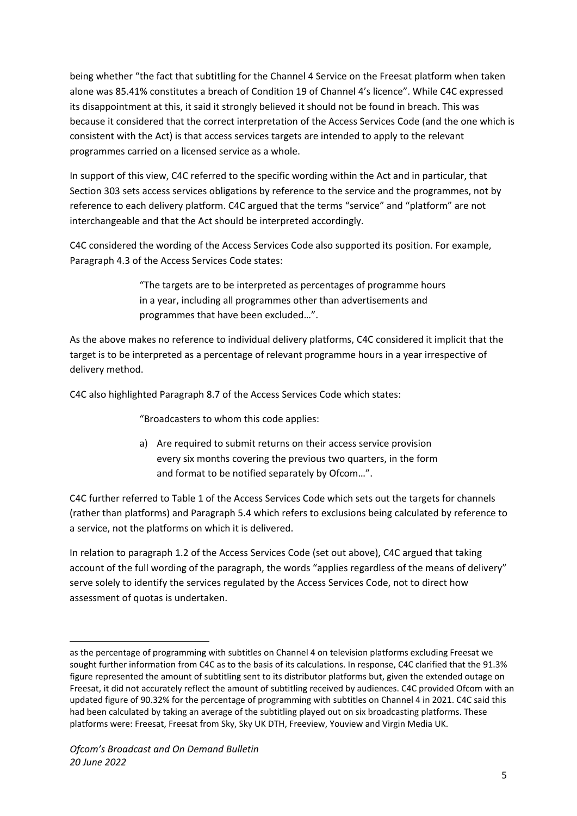being whether "the fact that subtitling for the Channel 4 Service on the Freesat platform when taken alone was 85.41% constitutes a breach of Condition 19 of Channel 4's licence". While C4C expressed its disappointment at this, it said it strongly believed it should not be found in breach. This was because it considered that the correct interpretation of the Access Services Code (and the one which is consistent with the Act) is that access services targets are intended to apply to the relevant programmes carried on a licensed service as a whole.

In support of this view, C4C referred to the specific wording within the Act and in particular, that Section 303 sets access services obligations by reference to the service and the programmes, not by reference to each delivery platform. C4C argued that the terms "service" and "platform" are not interchangeable and that the Act should be interpreted accordingly.

C4C considered the wording of the Access Services Code also supported its position. For example, Paragraph 4.3 of the Access Services Code states:

> "The targets are to be interpreted as percentages of programme hours in a year, including all programmes other than advertisements and programmes that have been excluded…".

As the above makes no reference to individual delivery platforms, C4C considered it implicit that the target is to be interpreted as a percentage of relevant programme hours in a year irrespective of delivery method.

C4C also highlighted Paragraph 8.7 of the Access Services Code which states:

"Broadcasters to whom this code applies:

a) Are required to submit returns on their access service provision every six months covering the previous two quarters, in the form and format to be notified separately by Ofcom…".

C4C further referred to Table 1 of the Access Services Code which sets out the targets for channels (rather than platforms) and Paragraph 5.4 which refers to exclusions being calculated by reference to a service, not the platforms on which it is delivered.

In relation to paragraph 1.2 of the Access Services Code (set out above), C4C argued that taking account of the full wording of the paragraph, the words "applies regardless of the means of delivery" serve solely to identify the services regulated by the Access Services Code, not to direct how assessment of quotas is undertaken.

as the percentage of programming with subtitles on Channel 4 on television platforms excluding Freesat we sought further information from C4C as to the basis of its calculations. In response, C4C clarified that the 91.3% figure represented the amount of subtitling sent to its distributor platforms but, given the extended outage on Freesat, it did not accurately reflect the amount of subtitling received by audiences. C4C provided Ofcom with an updated figure of 90.32% for the percentage of programming with subtitles on Channel 4 in 2021. C4C said this had been calculated by taking an average of the subtitling played out on six broadcasting platforms. These platforms were: Freesat, Freesat from Sky, Sky UK DTH, Freeview, Youview and Virgin Media UK.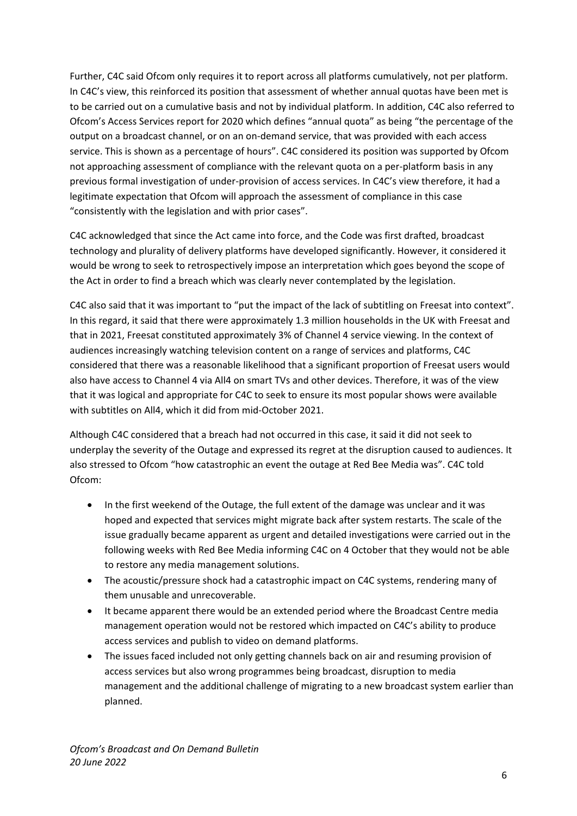Further, C4C said Ofcom only requires it to report across all platforms cumulatively, not per platform. In C4C's view, this reinforced its position that assessment of whether annual quotas have been met is to be carried out on a cumulative basis and not by individual platform. In addition, C4C also referred to Ofcom's Access Services report for 2020 which defines "annual quota" as being "the percentage of the output on a broadcast channel, or on an on-demand service, that was provided with each access service. This is shown as a percentage of hours". C4C considered its position was supported by Ofcom not approaching assessment of compliance with the relevant quota on a per-platform basis in any previous formal investigation of under-provision of access services. In C4C's view therefore, it had a legitimate expectation that Ofcom will approach the assessment of compliance in this case "consistently with the legislation and with prior cases".

C4C acknowledged that since the Act came into force, and the Code was first drafted, broadcast technology and plurality of delivery platforms have developed significantly. However, it considered it would be wrong to seek to retrospectively impose an interpretation which goes beyond the scope of the Act in order to find a breach which was clearly never contemplated by the legislation.

C4C also said that it was important to "put the impact of the lack of subtitling on Freesat into context". In this regard, it said that there were approximately 1.3 million households in the UK with Freesat and that in 2021, Freesat constituted approximately 3% of Channel 4 service viewing. In the context of audiences increasingly watching television content on a range of services and platforms, C4C considered that there was a reasonable likelihood that a significant proportion of Freesat users would also have access to Channel 4 via All4 on smart TVs and other devices. Therefore, it was of the view that it was logical and appropriate for C4C to seek to ensure its most popular shows were available with subtitles on All4, which it did from mid-October 2021.

Although C4C considered that a breach had not occurred in this case, it said it did not seek to underplay the severity of the Outage and expressed its regret at the disruption caused to audiences. It also stressed to Ofcom "how catastrophic an event the outage at Red Bee Media was". C4C told Ofcom:

- In the first weekend of the Outage, the full extent of the damage was unclear and it was hoped and expected that services might migrate back after system restarts. The scale of the issue gradually became apparent as urgent and detailed investigations were carried out in the following weeks with Red Bee Media informing C4C on 4 October that they would not be able to restore any media management solutions.
- The acoustic/pressure shock had a catastrophic impact on C4C systems, rendering many of them unusable and unrecoverable.
- It became apparent there would be an extended period where the Broadcast Centre media management operation would not be restored which impacted on C4C's ability to produce access services and publish to video on demand platforms.
- The issues faced included not only getting channels back on air and resuming provision of access services but also wrong programmes being broadcast, disruption to media management and the additional challenge of migrating to a new broadcast system earlier than planned.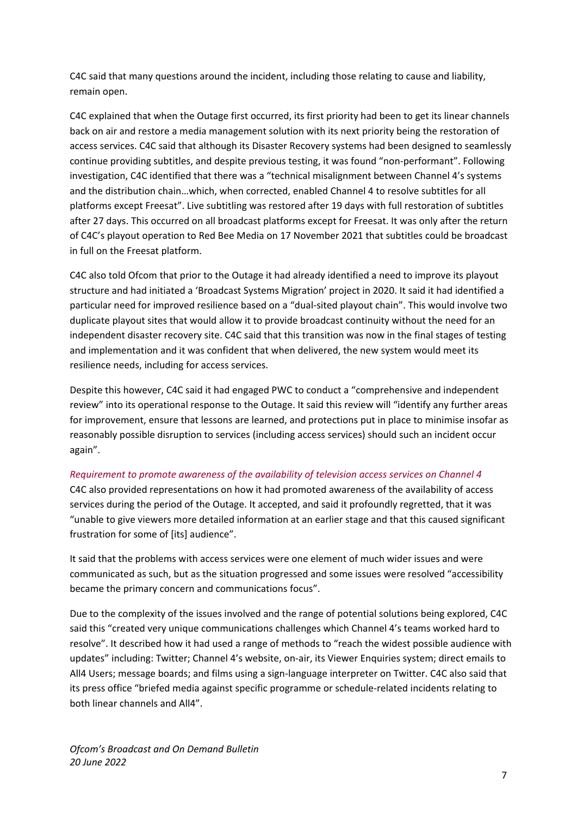C4C said that many questions around the incident, including those relating to cause and liability, remain open.

C4C explained that when the Outage first occurred, its first priority had been to get its linear channels back on air and restore a media management solution with its next priority being the restoration of access services. C4C said that although its Disaster Recovery systems had been designed to seamlessly continue providing subtitles, and despite previous testing, it was found "non-performant". Following investigation, C4C identified that there was a "technical misalignment between Channel 4's systems and the distribution chain…which, when corrected, enabled Channel 4 to resolve subtitles for all platforms except Freesat". Live subtitling was restored after 19 days with full restoration of subtitles after 27 days. This occurred on all broadcast platforms except for Freesat. It was only after the return of C4C's playout operation to Red Bee Media on 17 November 2021 that subtitles could be broadcast in full on the Freesat platform.

C4C also told Ofcom that prior to the Outage it had already identified a need to improve its playout structure and had initiated a 'Broadcast Systems Migration' project in 2020. It said it had identified a particular need for improved resilience based on a "dual-sited playout chain". This would involve two duplicate playout sites that would allow it to provide broadcast continuity without the need for an independent disaster recovery site. C4C said that this transition was now in the final stages of testing and implementation and it was confident that when delivered, the new system would meet its resilience needs, including for access services.

Despite this however, C4C said it had engaged PWC to conduct a "comprehensive and independent review" into its operational response to the Outage. It said this review will "identify any further areas for improvement, ensure that lessons are learned, and protections put in place to minimise insofar as reasonably possible disruption to services (including access services) should such an incident occur again".

#### *Requirement to promote awareness of the availability of television access services on Channel 4*

C4C also provided representations on how it had promoted awareness of the availability of access services during the period of the Outage. It accepted, and said it profoundly regretted, that it was "unable to give viewers more detailed information at an earlier stage and that this caused significant frustration for some of [its] audience".

It said that the problems with access services were one element of much wider issues and were communicated as such, but as the situation progressed and some issues were resolved "accessibility became the primary concern and communications focus".

Due to the complexity of the issues involved and the range of potential solutions being explored, C4C said this "created very unique communications challenges which Channel 4's teams worked hard to resolve". It described how it had used a range of methods to "reach the widest possible audience with updates" including: Twitter; Channel 4's website, on-air, its Viewer Enquiries system; direct emails to All4 Users; message boards; and films using a sign-language interpreter on Twitter. C4C also said that its press office "briefed media against specific programme or schedule-related incidents relating to both linear channels and All4".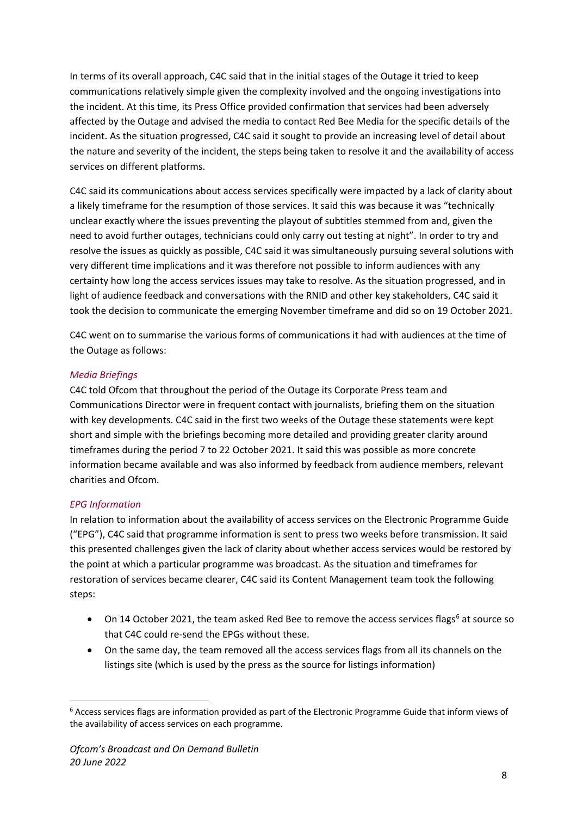In terms of its overall approach, C4C said that in the initial stages of the Outage it tried to keep communications relatively simple given the complexity involved and the ongoing investigations into the incident. At this time, its Press Office provided confirmation that services had been adversely affected by the Outage and advised the media to contact Red Bee Media for the specific details of the incident. As the situation progressed, C4C said it sought to provide an increasing level of detail about the nature and severity of the incident, the steps being taken to resolve it and the availability of access services on different platforms.

C4C said its communications about access services specifically were impacted by a lack of clarity about a likely timeframe for the resumption of those services. It said this was because it was "technically unclear exactly where the issues preventing the playout of subtitles stemmed from and, given the need to avoid further outages, technicians could only carry out testing at night". In order to try and resolve the issues as quickly as possible, C4C said it was simultaneously pursuing several solutions with very different time implications and it was therefore not possible to inform audiences with any certainty how long the access services issues may take to resolve. As the situation progressed, and in light of audience feedback and conversations with the RNID and other key stakeholders, C4C said it took the decision to communicate the emerging November timeframe and did so on 19 October 2021.

C4C went on to summarise the various forms of communications it had with audiences at the time of the Outage as follows:

## *Media Briefings*

C4C told Ofcom that throughout the period of the Outage its Corporate Press team and Communications Director were in frequent contact with journalists, briefing them on the situation with key developments. C4C said in the first two weeks of the Outage these statements were kept short and simple with the briefings becoming more detailed and providing greater clarity around timeframes during the period 7 to 22 October 2021. It said this was possible as more concrete information became available and was also informed by feedback from audience members, relevant charities and Ofcom.

#### *EPG Information*

In relation to information about the availability of access services on the Electronic Programme Guide ("EPG"), C4C said that programme information is sent to press two weeks before transmission. It said this presented challenges given the lack of clarity about whether access services would be restored by the point at which a particular programme was broadcast. As the situation and timeframes for restoration of services became clearer, C4C said its Content Management team took the following steps:

- On 14 October 2021, the team asked Red Bee to remove the access services flags<sup>[6](#page-7-0)</sup> at source so that C4C could re-send the EPGs without these.
- On the same day, the team removed all the access services flags from all its channels on the listings site (which is used by the press as the source for listings information)

<span id="page-7-0"></span><sup>&</sup>lt;sup>6</sup> Access services flags are information provided as part of the Electronic Programme Guide that inform views of the availability of access services on each programme.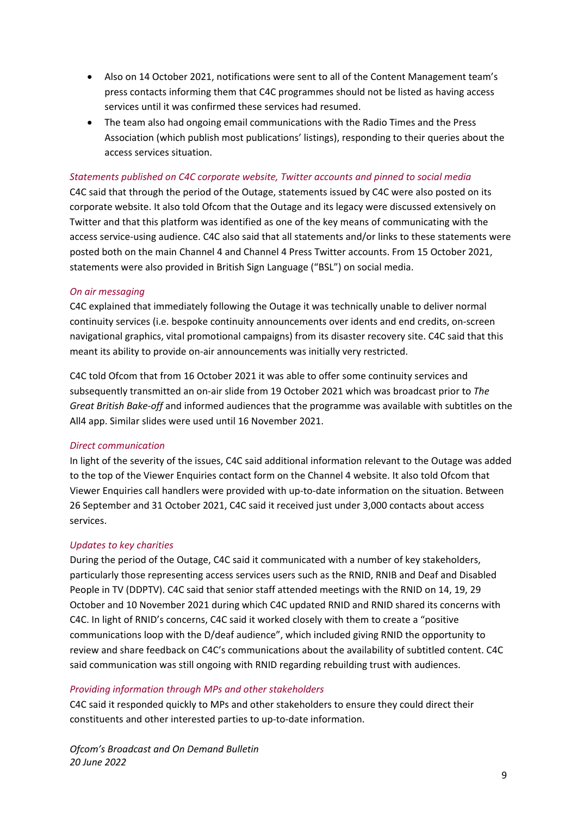- Also on 14 October 2021, notifications were sent to all of the Content Management team's press contacts informing them that C4C programmes should not be listed as having access services until it was confirmed these services had resumed.
- The team also had ongoing email communications with the Radio Times and the Press Association (which publish most publications' listings), responding to their queries about the access services situation.

#### *Statements published on C4C corporate website, Twitter accounts and pinned to social media*

C4C said that through the period of the Outage, statements issued by C4C were also posted on its corporate website. It also told Ofcom that the Outage and its legacy were discussed extensively on Twitter and that this platform was identified as one of the key means of communicating with the access service-using audience. C4C also said that all statements and/or links to these statements were posted both on the main Channel 4 and Channel 4 Press Twitter accounts. From 15 October 2021, statements were also provided in British Sign Language ("BSL") on social media.

#### *On air messaging*

C4C explained that immediately following the Outage it was technically unable to deliver normal continuity services (i.e. bespoke continuity announcements over idents and end credits, on-screen navigational graphics, vital promotional campaigns) from its disaster recovery site. C4C said that this meant its ability to provide on-air announcements was initially very restricted.

C4C told Ofcom that from 16 October 2021 it was able to offer some continuity services and subsequently transmitted an on-air slide from 19 October 2021 which was broadcast prior to *The Great British Bake-off* and informed audiences that the programme was available with subtitles on the All4 app. Similar slides were used until 16 November 2021.

#### *Direct communication*

In light of the severity of the issues, C4C said additional information relevant to the Outage was added to the top of the Viewer Enquiries contact form on the Channel 4 website. It also told Ofcom that Viewer Enquiries call handlers were provided with up-to-date information on the situation. Between 26 September and 31 October 2021, C4C said it received just under 3,000 contacts about access services.

#### *Updates to key charities*

During the period of the Outage, C4C said it communicated with a number of key stakeholders, particularly those representing access services users such as the RNID, RNIB and Deaf and Disabled People in TV (DDPTV). C4C said that senior staff attended meetings with the RNID on 14, 19, 29 October and 10 November 2021 during which C4C updated RNID and RNID shared its concerns with C4C. In light of RNID's concerns, C4C said it worked closely with them to create a "positive communications loop with the D/deaf audience", which included giving RNID the opportunity to review and share feedback on C4C's communications about the availability of subtitled content. C4C said communication was still ongoing with RNID regarding rebuilding trust with audiences.

#### *Providing information through MPs and other stakeholders*

C4C said it responded quickly to MPs and other stakeholders to ensure they could direct their constituents and other interested parties to up-to-date information.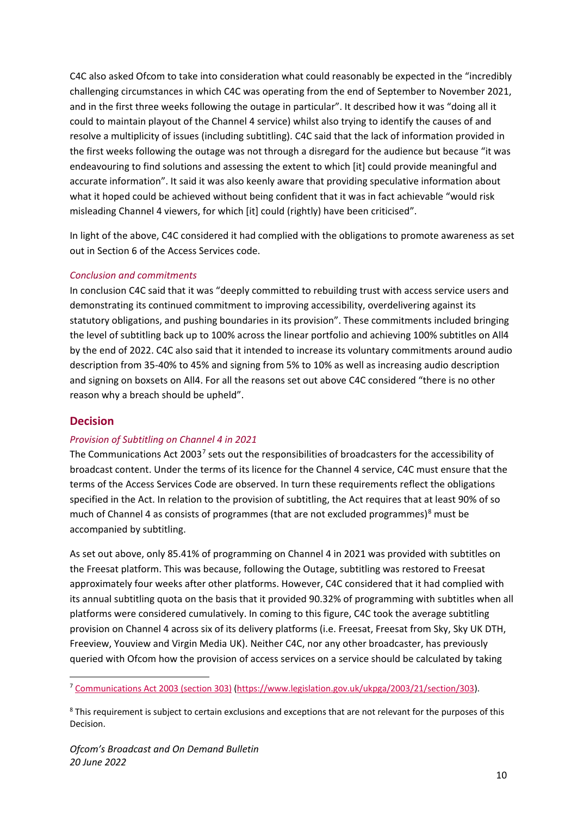C4C also asked Ofcom to take into consideration what could reasonably be expected in the "incredibly challenging circumstances in which C4C was operating from the end of September to November 2021, and in the first three weeks following the outage in particular". It described how it was "doing all it could to maintain playout of the Channel 4 service) whilst also trying to identify the causes of and resolve a multiplicity of issues (including subtitling). C4C said that the lack of information provided in the first weeks following the outage was not through a disregard for the audience but because "it was endeavouring to find solutions and assessing the extent to which [it] could provide meaningful and accurate information". It said it was also keenly aware that providing speculative information about what it hoped could be achieved without being confident that it was in fact achievable "would risk misleading Channel 4 viewers, for which [it] could (rightly) have been criticised".

In light of the above, C4C considered it had complied with the obligations to promote awareness as set out in Section 6 of the Access Services code.

#### *Conclusion and commitments*

In conclusion C4C said that it was "deeply committed to rebuilding trust with access service users and demonstrating its continued commitment to improving accessibility, overdelivering against its statutory obligations, and pushing boundaries in its provision". These commitments included bringing the level of subtitling back up to 100% across the linear portfolio and achieving 100% subtitles on All4 by the end of 2022. C4C also said that it intended to increase its voluntary commitments around audio description from 35-40% to 45% and signing from 5% to 10% as well as increasing audio description and signing on boxsets on All4. For all the reasons set out above C4C considered "there is no other reason why a breach should be upheld".

#### **Decision**

#### *Provision of Subtitling on Channel 4 in 2021*

The Communications Act 2003<sup>[7](#page-9-0)</sup> sets out the responsibilities of broadcasters for the accessibility of broadcast content. Under the terms of its licence for the Channel 4 service, C4C must ensure that the terms of the Access Services Code are observed. In turn these requirements reflect the obligations specified in the Act. In relation to the provision of subtitling, the Act requires that at least 90% of so much of Channel 4 as consists of programmes (that are not excluded programmes) $8$  must be accompanied by subtitling.

As set out above, only 85.41% of programming on Channel 4 in 2021 was provided with subtitles on the Freesat platform. This was because, following the Outage, subtitling was restored to Freesat approximately four weeks after other platforms. However, C4C considered that it had complied with its annual subtitling quota on the basis that it provided 90.32% of programming with subtitles when all platforms were considered cumulatively. In coming to this figure, C4C took the average subtitling provision on Channel 4 across six of its delivery platforms (i.e. Freesat, Freesat from Sky, Sky UK DTH, Freeview, Youview and Virgin Media UK). Neither C4C, nor any other broadcaster, has previously queried with Ofcom how the provision of access services on a service should be calculated by taking

<span id="page-9-0"></span><sup>7</sup> [Communications Act 2003 \(section 303\)](https://www.legislation.gov.uk/ukpga/2003/21/section/303) [\(https://www.legislation.gov.uk/ukpga/2003/21/section/303\)](https://www.legislation.gov.uk/ukpga/2003/21/section/303).

<span id="page-9-1"></span><sup>&</sup>lt;sup>8</sup> This requirement is subject to certain exclusions and exceptions that are not relevant for the purposes of this Decision.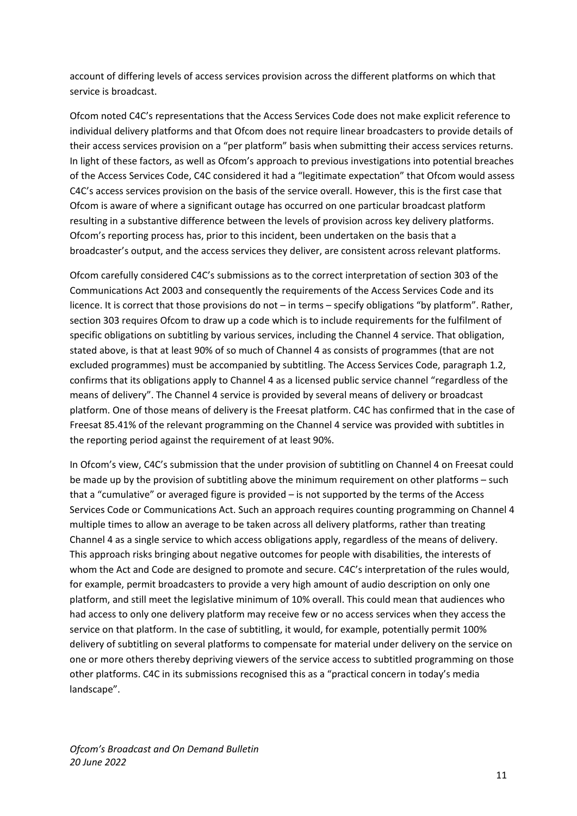account of differing levels of access services provision across the different platforms on which that service is broadcast.

Ofcom noted C4C's representations that the Access Services Code does not make explicit reference to individual delivery platforms and that Ofcom does not require linear broadcasters to provide details of their access services provision on a "per platform" basis when submitting their access services returns. In light of these factors, as well as Ofcom's approach to previous investigations into potential breaches of the Access Services Code, C4C considered it had a "legitimate expectation" that Ofcom would assess C4C's access services provision on the basis of the service overall. However, this is the first case that Ofcom is aware of where a significant outage has occurred on one particular broadcast platform resulting in a substantive difference between the levels of provision across key delivery platforms. Ofcom's reporting process has, prior to this incident, been undertaken on the basis that a broadcaster's output, and the access services they deliver, are consistent across relevant platforms.

Ofcom carefully considered C4C's submissions as to the correct interpretation of section 303 of the Communications Act 2003 and consequently the requirements of the Access Services Code and its licence. It is correct that those provisions do not – in terms – specify obligations "by platform". Rather, section 303 requires Ofcom to draw up a code which is to include requirements for the fulfilment of specific obligations on subtitling by various services, including the Channel 4 service. That obligation, stated above, is that at least 90% of so much of Channel 4 as consists of programmes (that are not excluded programmes) must be accompanied by subtitling. The Access Services Code, paragraph 1.2, confirms that its obligations apply to Channel 4 as a licensed public service channel "regardless of the means of delivery". The Channel 4 service is provided by several means of delivery or broadcast platform. One of those means of delivery is the Freesat platform. C4C has confirmed that in the case of Freesat 85.41% of the relevant programming on the Channel 4 service was provided with subtitles in the reporting period against the requirement of at least 90%.

In Ofcom's view, C4C's submission that the under provision of subtitling on Channel 4 on Freesat could be made up by the provision of subtitling above the minimum requirement on other platforms – such that a "cumulative" or averaged figure is provided – is not supported by the terms of the Access Services Code or Communications Act. Such an approach requires counting programming on Channel 4 multiple times to allow an average to be taken across all delivery platforms, rather than treating Channel 4 as a single service to which access obligations apply, regardless of the means of delivery. This approach risks bringing about negative outcomes for people with disabilities, the interests of whom the Act and Code are designed to promote and secure. C4C's interpretation of the rules would, for example, permit broadcasters to provide a very high amount of audio description on only one platform, and still meet the legislative minimum of 10% overall. This could mean that audiences who had access to only one delivery platform may receive few or no access services when they access the service on that platform. In the case of subtitling, it would, for example, potentially permit 100% delivery of subtitling on several platforms to compensate for material under delivery on the service on one or more others thereby depriving viewers of the service access to subtitled programming on those other platforms. C4C in its submissions recognised this as a "practical concern in today's media landscape".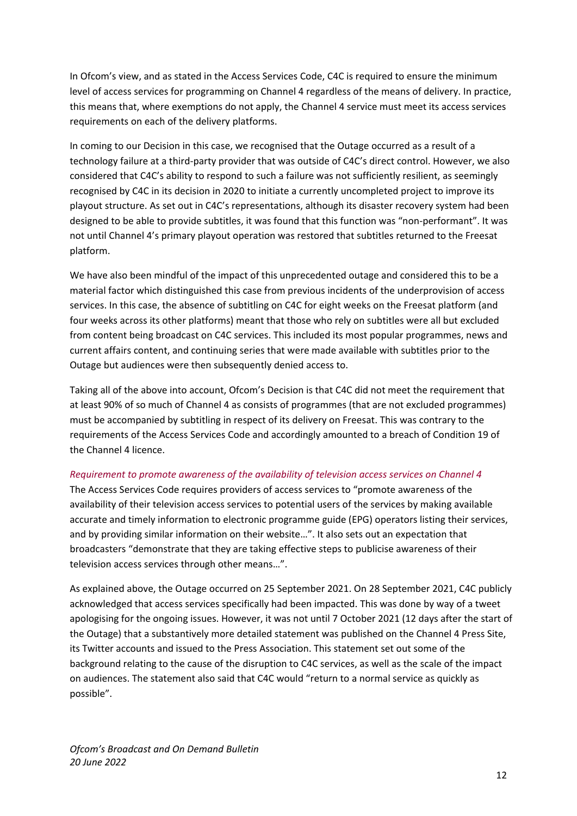In Ofcom's view, and as stated in the Access Services Code, C4C is required to ensure the minimum level of access services for programming on Channel 4 regardless of the means of delivery. In practice, this means that, where exemptions do not apply, the Channel 4 service must meet its access services requirements on each of the delivery platforms.

In coming to our Decision in this case, we recognised that the Outage occurred as a result of a technology failure at a third-party provider that was outside of C4C's direct control. However, we also considered that C4C's ability to respond to such a failure was not sufficiently resilient, as seemingly recognised by C4C in its decision in 2020 to initiate a currently uncompleted project to improve its playout structure. As set out in C4C's representations, although its disaster recovery system had been designed to be able to provide subtitles, it was found that this function was "non-performant". It was not until Channel 4's primary playout operation was restored that subtitles returned to the Freesat platform.

We have also been mindful of the impact of this unprecedented outage and considered this to be a material factor which distinguished this case from previous incidents of the underprovision of access services. In this case, the absence of subtitling on C4C for eight weeks on the Freesat platform (and four weeks across its other platforms) meant that those who rely on subtitles were all but excluded from content being broadcast on C4C services. This included its most popular programmes, news and current affairs content, and continuing series that were made available with subtitles prior to the Outage but audiences were then subsequently denied access to.

Taking all of the above into account, Ofcom's Decision is that C4C did not meet the requirement that at least 90% of so much of Channel 4 as consists of programmes (that are not excluded programmes) must be accompanied by subtitling in respect of its delivery on Freesat. This was contrary to the requirements of the Access Services Code and accordingly amounted to a breach of Condition 19 of the Channel 4 licence.

#### *Requirement to promote awareness of the availability of television access services on Channel 4*

The Access Services Code requires providers of access services to "promote awareness of the availability of their television access services to potential users of the services by making available accurate and timely information to electronic programme guide (EPG) operators listing their services, and by providing similar information on their website…". It also sets out an expectation that broadcasters "demonstrate that they are taking effective steps to publicise awareness of their television access services through other means…".

As explained above, the Outage occurred on 25 September 2021. On 28 September 2021, C4C publicly acknowledged that access services specifically had been impacted. This was done by way of a tweet apologising for the ongoing issues. However, it was not until 7 October 2021 (12 days after the start of the Outage) that a substantively more detailed statement was published on the Channel 4 Press Site, its Twitter accounts and issued to the Press Association. This statement set out some of the background relating to the cause of the disruption to C4C services, as well as the scale of the impact on audiences. The statement also said that C4C would "return to a normal service as quickly as possible".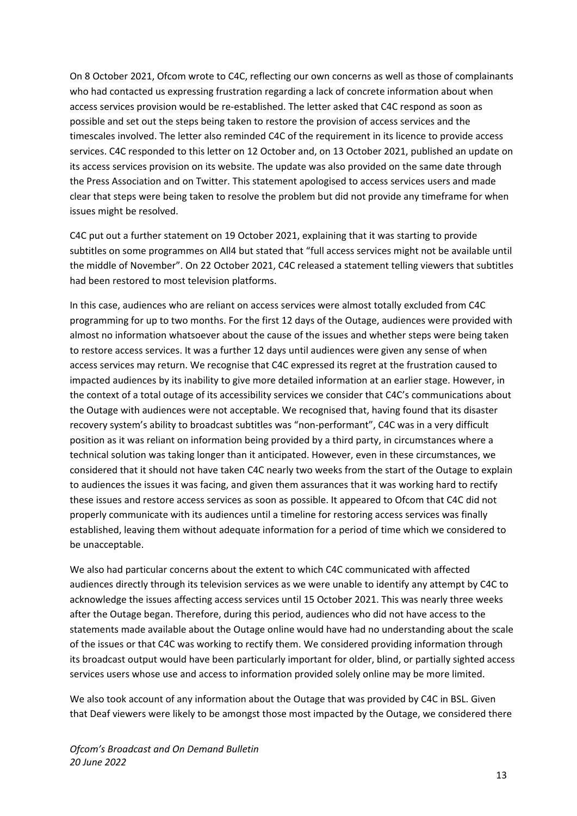On 8 October 2021, Ofcom wrote to C4C, reflecting our own concerns as well as those of complainants who had contacted us expressing frustration regarding a lack of concrete information about when access services provision would be re-established. The letter asked that C4C respond as soon as possible and set out the steps being taken to restore the provision of access services and the timescales involved. The letter also reminded C4C of the requirement in its licence to provide access services. C4C responded to this letter on 12 October and, on 13 October 2021, published an update on its access services provision on its website. The update was also provided on the same date through the Press Association and on Twitter. This statement apologised to access services users and made clear that steps were being taken to resolve the problem but did not provide any timeframe for when issues might be resolved.

C4C put out a further statement on 19 October 2021, explaining that it was starting to provide subtitles on some programmes on All4 but stated that "full access services might not be available until the middle of November". On 22 October 2021, C4C released a statement telling viewers that subtitles had been restored to most television platforms.

In this case, audiences who are reliant on access services were almost totally excluded from C4C programming for up to two months. For the first 12 days of the Outage, audiences were provided with almost no information whatsoever about the cause of the issues and whether steps were being taken to restore access services. It was a further 12 days until audiences were given any sense of when access services may return. We recognise that C4C expressed its regret at the frustration caused to impacted audiences by its inability to give more detailed information at an earlier stage. However, in the context of a total outage of its accessibility services we consider that C4C's communications about the Outage with audiences were not acceptable. We recognised that, having found that its disaster recovery system's ability to broadcast subtitles was "non-performant", C4C was in a very difficult position as it was reliant on information being provided by a third party, in circumstances where a technical solution was taking longer than it anticipated. However, even in these circumstances, we considered that it should not have taken C4C nearly two weeks from the start of the Outage to explain to audiences the issues it was facing, and given them assurances that it was working hard to rectify these issues and restore access services as soon as possible. It appeared to Ofcom that C4C did not properly communicate with its audiences until a timeline for restoring access services was finally established, leaving them without adequate information for a period of time which we considered to be unacceptable.

We also had particular concerns about the extent to which C4C communicated with affected audiences directly through its television services as we were unable to identify any attempt by C4C to acknowledge the issues affecting access services until 15 October 2021. This was nearly three weeks after the Outage began. Therefore, during this period, audiences who did not have access to the statements made available about the Outage online would have had no understanding about the scale of the issues or that C4C was working to rectify them. We considered providing information through its broadcast output would have been particularly important for older, blind, or partially sighted access services users whose use and access to information provided solely online may be more limited.

We also took account of any information about the Outage that was provided by C4C in BSL. Given that Deaf viewers were likely to be amongst those most impacted by the Outage, we considered there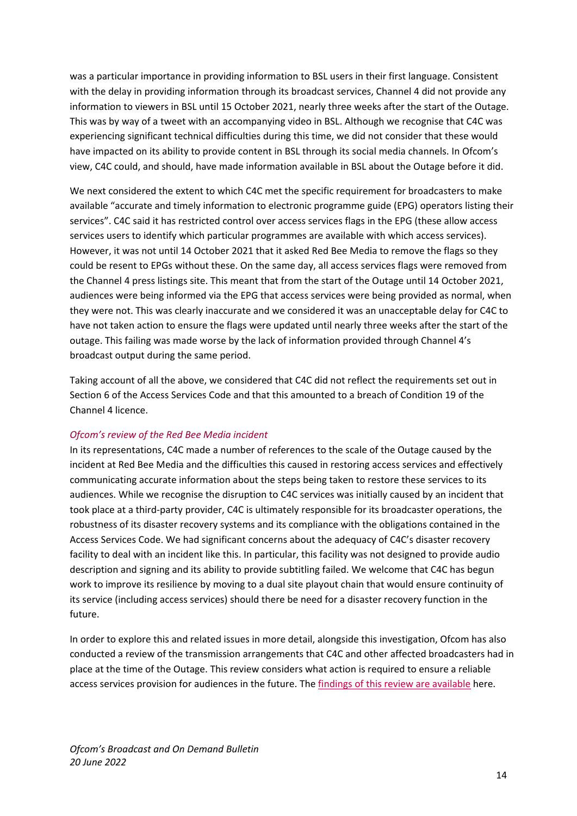was a particular importance in providing information to BSL users in their first language. Consistent with the delay in providing information through its broadcast services, Channel 4 did not provide any information to viewers in BSL until 15 October 2021, nearly three weeks after the start of the Outage. This was by way of a tweet with an accompanying video in BSL. Although we recognise that C4C was experiencing significant technical difficulties during this time, we did not consider that these would have impacted on its ability to provide content in BSL through its social media channels. In Ofcom's view, C4C could, and should, have made information available in BSL about the Outage before it did.

We next considered the extent to which C4C met the specific requirement for broadcasters to make available "accurate and timely information to electronic programme guide (EPG) operators listing their services". C4C said it has restricted control over access services flags in the EPG (these allow access services users to identify which particular programmes are available with which access services). However, it was not until 14 October 2021 that it asked Red Bee Media to remove the flags so they could be resent to EPGs without these. On the same day, all access services flags were removed from the Channel 4 press listings site. This meant that from the start of the Outage until 14 October 2021, audiences were being informed via the EPG that access services were being provided as normal, when they were not. This was clearly inaccurate and we considered it was an unacceptable delay for C4C to have not taken action to ensure the flags were updated until nearly three weeks after the start of the outage. This failing was made worse by the lack of information provided through Channel 4's broadcast output during the same period.

Taking account of all the above, we considered that C4C did not reflect the requirements set out in Section 6 of the Access Services Code and that this amounted to a breach of Condition 19 of the Channel 4 licence.

## *Ofcom's review of the Red Bee Media incident*

In its representations, C4C made a number of references to the scale of the Outage caused by the incident at Red Bee Media and the difficulties this caused in restoring access services and effectively communicating accurate information about the steps being taken to restore these services to its audiences. While we recognise the disruption to C4C services was initially caused by an incident that took place at a third-party provider, C4C is ultimately responsible for its broadcaster operations, the robustness of its disaster recovery systems and its compliance with the obligations contained in the Access Services Code. We had significant concerns about the adequacy of C4C's disaster recovery facility to deal with an incident like this. In particular, this facility was not designed to provide audio description and signing and its ability to provide subtitling failed. We welcome that C4C has begun work to improve its resilience by moving to a dual site playout chain that would ensure continuity of its service (including access services) should there be need for a disaster recovery function in the future.

In order to explore this and related issues in more detail, alongside this investigation, Ofcom has also conducted a review of the transmission arrangements that C4C and other affected broadcasters had in place at the time of the Outage. This review considers what action is required to ensure a reliable access services provision for audiences in the future. The [findings of this review are available](https://www.ofcom.org.uk/__data/assets/pdf_file/0032/238964/incident-review-red-bee-media.pdf) here.